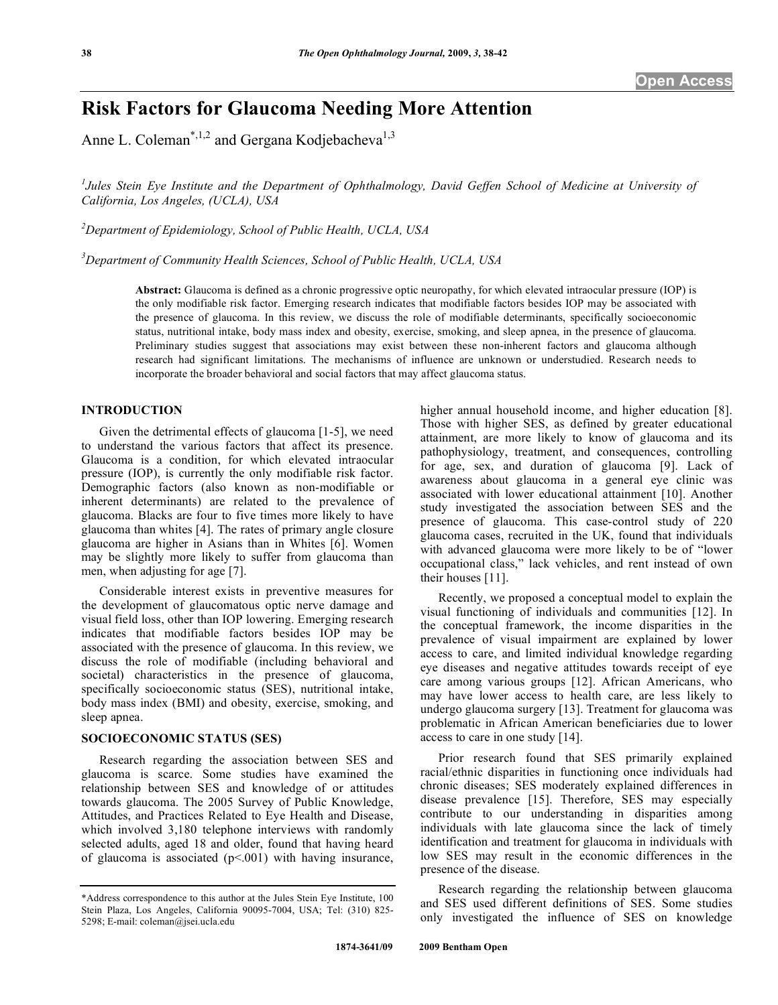# **Risk Factors for Glaucoma Needing More Attention**

Anne L. Coleman<sup>\*,1,2</sup> and Gergana Kodjebacheva<sup>1,3</sup>

<sup>1</sup> Jules Stein Eye Institute and the Department of Ophthalmology, David Geffen School of Medicine at University of *California, Los Angeles, (UCLA), USA* 

*2 Department of Epidemiology, School of Public Health, UCLA, USA* 

*3 Department of Community Health Sciences, School of Public Health, UCLA, USA* 

**Abstract:** Glaucoma is defined as a chronic progressive optic neuropathy, for which elevated intraocular pressure (IOP) is the only modifiable risk factor. Emerging research indicates that modifiable factors besides IOP may be associated with the presence of glaucoma. In this review, we discuss the role of modifiable determinants, specifically socioeconomic status, nutritional intake, body mass index and obesity, exercise, smoking, and sleep apnea, in the presence of glaucoma. Preliminary studies suggest that associations may exist between these non-inherent factors and glaucoma although research had significant limitations. The mechanisms of influence are unknown or understudied. Research needs to incorporate the broader behavioral and social factors that may affect glaucoma status.

# **INTRODUCTION**

Given the detrimental effects of glaucoma [1-5], we need to understand the various factors that affect its presence. Glaucoma is a condition, for which elevated intraocular pressure (IOP), is currently the only modifiable risk factor. Demographic factors (also known as non-modifiable or inherent determinants) are related to the prevalence of glaucoma. Blacks are four to five times more likely to have glaucoma than whites [4]. The rates of primary angle closure glaucoma are higher in Asians than in Whites [6]. Women may be slightly more likely to suffer from glaucoma than men, when adjusting for age [7].

 Considerable interest exists in preventive measures for the development of glaucomatous optic nerve damage and visual field loss, other than IOP lowering. Emerging research indicates that modifiable factors besides IOP may be associated with the presence of glaucoma. In this review, we discuss the role of modifiable (including behavioral and societal) characteristics in the presence of glaucoma, specifically socioeconomic status (SES), nutritional intake, body mass index (BMI) and obesity, exercise, smoking, and sleep apnea.

# **SOCIOECONOMIC STATUS (SES)**

 Research regarding the association between SES and glaucoma is scarce. Some studies have examined the relationship between SES and knowledge of or attitudes towards glaucoma. The 2005 Survey of Public Knowledge, Attitudes, and Practices Related to Eye Health and Disease, which involved 3,180 telephone interviews with randomly selected adults, aged 18 and older, found that having heard of glaucoma is associated  $(p<.001)$  with having insurance,

higher annual household income, and higher education [8]. Those with higher SES, as defined by greater educational attainment, are more likely to know of glaucoma and its pathophysiology, treatment, and consequences, controlling for age, sex, and duration of glaucoma [9]. Lack of awareness about glaucoma in a general eye clinic was associated with lower educational attainment [10]. Another study investigated the association between SES and the presence of glaucoma. This case-control study of 220 glaucoma cases, recruited in the UK, found that individuals with advanced glaucoma were more likely to be of "lower occupational class," lack vehicles, and rent instead of own their houses [11].

 Recently, we proposed a conceptual model to explain the visual functioning of individuals and communities [12]. In the conceptual framework, the income disparities in the prevalence of visual impairment are explained by lower access to care, and limited individual knowledge regarding eye diseases and negative attitudes towards receipt of eye care among various groups [12]. African Americans, who may have lower access to health care, are less likely to undergo glaucoma surgery [13]. Treatment for glaucoma was problematic in African American beneficiaries due to lower access to care in one study [14].

 Prior research found that SES primarily explained racial/ethnic disparities in functioning once individuals had chronic diseases; SES moderately explained differences in disease prevalence [15]. Therefore, SES may especially contribute to our understanding in disparities among individuals with late glaucoma since the lack of timely identification and treatment for glaucoma in individuals with low SES may result in the economic differences in the presence of the disease.

 Research regarding the relationship between glaucoma and SES used different definitions of SES. Some studies only investigated the influence of SES on knowledge

<sup>\*</sup>Address correspondence to this author at the Jules Stein Eye Institute, 100 Stein Plaza, Los Angeles, California 90095-7004, USA; Tel: (310) 825- 5298; E-mail: coleman@jsei.ucla.edu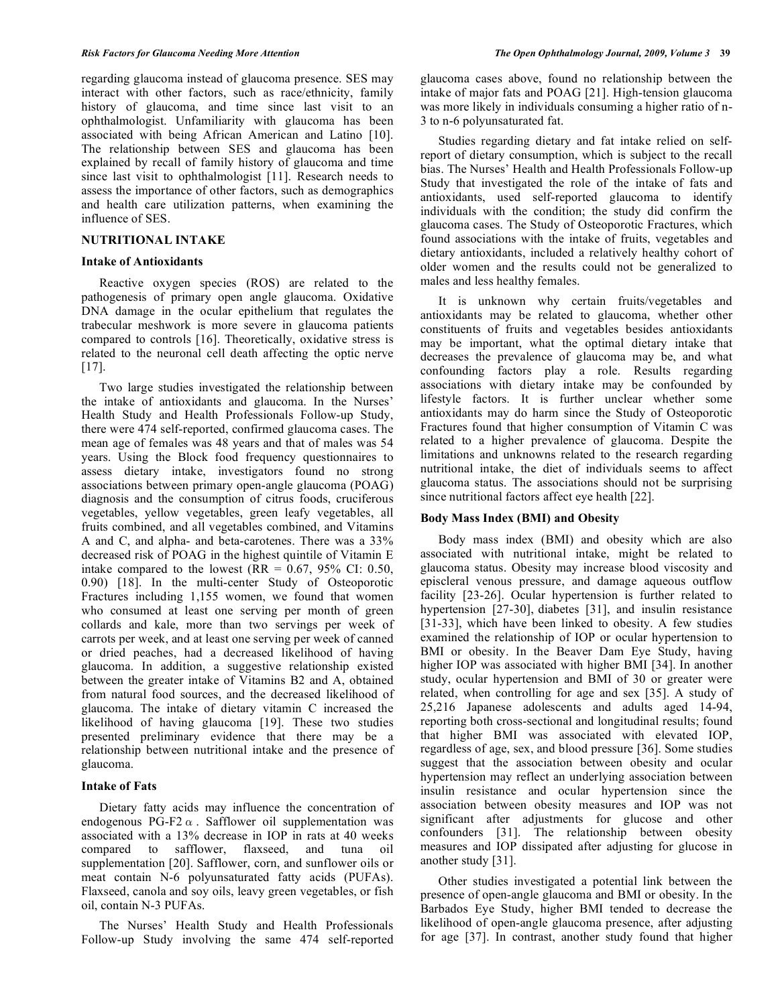regarding glaucoma instead of glaucoma presence. SES may interact with other factors, such as race/ethnicity, family history of glaucoma, and time since last visit to an ophthalmologist. Unfamiliarity with glaucoma has been associated with being African American and Latino [10]. The relationship between SES and glaucoma has been explained by recall of family history of glaucoma and time since last visit to ophthalmologist [11]. Research needs to assess the importance of other factors, such as demographics and health care utilization patterns, when examining the influence of SES.

## **NUTRITIONAL INTAKE**

#### **Intake of Antioxidants**

 Reactive oxygen species (ROS) are related to the pathogenesis of primary open angle glaucoma. Oxidative DNA damage in the ocular epithelium that regulates the trabecular meshwork is more severe in glaucoma patients compared to controls [16]. Theoretically, oxidative stress is related to the neuronal cell death affecting the optic nerve [17].

 Two large studies investigated the relationship between the intake of antioxidants and glaucoma. In the Nurses' Health Study and Health Professionals Follow-up Study, there were 474 self-reported, confirmed glaucoma cases. The mean age of females was 48 years and that of males was 54 years. Using the Block food frequency questionnaires to assess dietary intake, investigators found no strong associations between primary open-angle glaucoma (POAG) diagnosis and the consumption of citrus foods, cruciferous vegetables, yellow vegetables, green leafy vegetables, all fruits combined, and all vegetables combined, and Vitamins A and C, and alpha- and beta-carotenes. There was a 33% decreased risk of POAG in the highest quintile of Vitamin E intake compared to the lowest (RR =  $0.67$ , 95% CI: 0.50, 0.90) [18]. In the multi-center Study of Osteoporotic Fractures including 1,155 women, we found that women who consumed at least one serving per month of green collards and kale, more than two servings per week of carrots per week, and at least one serving per week of canned or dried peaches, had a decreased likelihood of having glaucoma. In addition, a suggestive relationship existed between the greater intake of Vitamins B2 and A, obtained from natural food sources, and the decreased likelihood of glaucoma. The intake of dietary vitamin C increased the likelihood of having glaucoma [19]. These two studies presented preliminary evidence that there may be a relationship between nutritional intake and the presence of glaucoma.

#### **Intake of Fats**

 Dietary fatty acids may influence the concentration of endogenous PG-F2 $\alpha$ . Safflower oil supplementation was associated with a 13% decrease in IOP in rats at 40 weeks compared to safflower, flaxseed, and tuna oil supplementation [20]. Safflower, corn, and sunflower oils or meat contain N-6 polyunsaturated fatty acids (PUFAs). Flaxseed, canola and soy oils, leavy green vegetables, or fish oil, contain N-3 PUFAs.

 The Nurses' Health Study and Health Professionals Follow-up Study involving the same 474 self-reported

glaucoma cases above, found no relationship between the intake of major fats and POAG [21]. High-tension glaucoma was more likely in individuals consuming a higher ratio of n-3 to n-6 polyunsaturated fat.

 Studies regarding dietary and fat intake relied on selfreport of dietary consumption, which is subject to the recall bias. The Nurses' Health and Health Professionals Follow-up Study that investigated the role of the intake of fats and antioxidants, used self-reported glaucoma to identify individuals with the condition; the study did confirm the glaucoma cases. The Study of Osteoporotic Fractures, which found associations with the intake of fruits, vegetables and dietary antioxidants, included a relatively healthy cohort of older women and the results could not be generalized to males and less healthy females.

 It is unknown why certain fruits/vegetables and antioxidants may be related to glaucoma, whether other constituents of fruits and vegetables besides antioxidants may be important, what the optimal dietary intake that decreases the prevalence of glaucoma may be, and what confounding factors play a role. Results regarding associations with dietary intake may be confounded by lifestyle factors. It is further unclear whether some antioxidants may do harm since the Study of Osteoporotic Fractures found that higher consumption of Vitamin C was related to a higher prevalence of glaucoma. Despite the limitations and unknowns related to the research regarding nutritional intake, the diet of individuals seems to affect glaucoma status. The associations should not be surprising since nutritional factors affect eye health [22].

## **Body Mass Index (BMI) and Obesity**

 Body mass index (BMI) and obesity which are also associated with nutritional intake, might be related to glaucoma status. Obesity may increase blood viscosity and episcleral venous pressure, and damage aqueous outflow facility [23-26]. Ocular hypertension is further related to hypertension [27-30], diabetes [31], and insulin resistance [31-33], which have been linked to obesity. A few studies examined the relationship of IOP or ocular hypertension to BMI or obesity. In the Beaver Dam Eye Study, having higher IOP was associated with higher BMI [34]. In another study, ocular hypertension and BMI of 30 or greater were related, when controlling for age and sex [35]. A study of 25,216 Japanese adolescents and adults aged 14-94, reporting both cross-sectional and longitudinal results; found that higher BMI was associated with elevated IOP, regardless of age, sex, and blood pressure [36]. Some studies suggest that the association between obesity and ocular hypertension may reflect an underlying association between insulin resistance and ocular hypertension since the association between obesity measures and IOP was not significant after adjustments for glucose and other confounders [31]. The relationship between obesity measures and IOP dissipated after adjusting for glucose in another study [31].

 Other studies investigated a potential link between the presence of open-angle glaucoma and BMI or obesity. In the Barbados Eye Study, higher BMI tended to decrease the likelihood of open-angle glaucoma presence, after adjusting for age [37]. In contrast, another study found that higher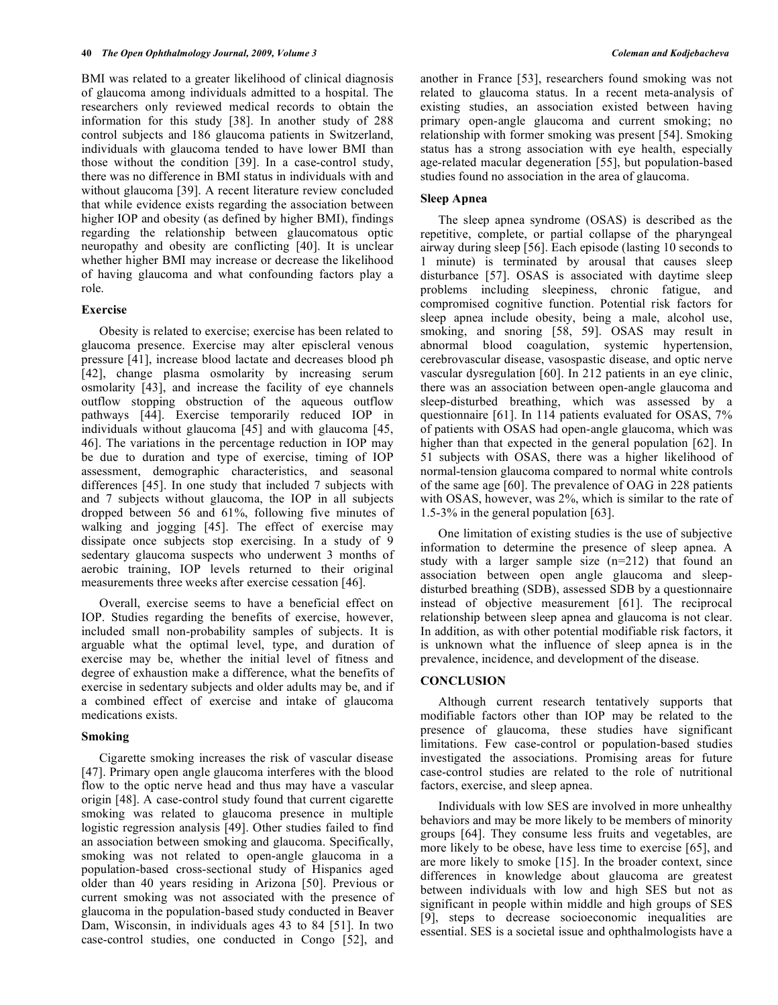BMI was related to a greater likelihood of clinical diagnosis of glaucoma among individuals admitted to a hospital. The researchers only reviewed medical records to obtain the information for this study [38]. In another study of 288 control subjects and 186 glaucoma patients in Switzerland, individuals with glaucoma tended to have lower BMI than those without the condition [39]. In a case-control study, there was no difference in BMI status in individuals with and without glaucoma [39]. A recent literature review concluded that while evidence exists regarding the association between higher IOP and obesity (as defined by higher BMI), findings regarding the relationship between glaucomatous optic neuropathy and obesity are conflicting [40]. It is unclear whether higher BMI may increase or decrease the likelihood of having glaucoma and what confounding factors play a role.

#### **Exercise**

 Obesity is related to exercise; exercise has been related to glaucoma presence. Exercise may alter episcleral venous pressure [41], increase blood lactate and decreases blood ph [42], change plasma osmolarity by increasing serum osmolarity [43], and increase the facility of eye channels outflow stopping obstruction of the aqueous outflow pathways [44]. Exercise temporarily reduced IOP in individuals without glaucoma [45] and with glaucoma [45, 46]. The variations in the percentage reduction in IOP may be due to duration and type of exercise, timing of IOP assessment, demographic characteristics, and seasonal differences [45]. In one study that included 7 subjects with and 7 subjects without glaucoma, the IOP in all subjects dropped between 56 and 61%, following five minutes of walking and jogging [45]. The effect of exercise may dissipate once subjects stop exercising. In a study of 9 sedentary glaucoma suspects who underwent 3 months of aerobic training, IOP levels returned to their original measurements three weeks after exercise cessation [46].

 Overall, exercise seems to have a beneficial effect on IOP. Studies regarding the benefits of exercise, however, included small non-probability samples of subjects. It is arguable what the optimal level, type, and duration of exercise may be, whether the initial level of fitness and degree of exhaustion make a difference, what the benefits of exercise in sedentary subjects and older adults may be, and if a combined effect of exercise and intake of glaucoma medications exists.

#### **Smoking**

 Cigarette smoking increases the risk of vascular disease [47]. Primary open angle glaucoma interferes with the blood flow to the optic nerve head and thus may have a vascular origin [48]. A case-control study found that current cigarette smoking was related to glaucoma presence in multiple logistic regression analysis [49]. Other studies failed to find an association between smoking and glaucoma. Specifically, smoking was not related to open-angle glaucoma in a population-based cross-sectional study of Hispanics aged older than 40 years residing in Arizona [50]. Previous or current smoking was not associated with the presence of glaucoma in the population-based study conducted in Beaver Dam, Wisconsin, in individuals ages 43 to 84 [51]. In two case-control studies, one conducted in Congo [52], and

another in France [53], researchers found smoking was not related to glaucoma status. In a recent meta-analysis of existing studies, an association existed between having primary open-angle glaucoma and current smoking; no relationship with former smoking was present [54]. Smoking status has a strong association with eye health, especially age-related macular degeneration [55], but population-based studies found no association in the area of glaucoma.

#### **Sleep Apnea**

 The sleep apnea syndrome (OSAS) is described as the repetitive, complete, or partial collapse of the pharyngeal airway during sleep [56]. Each episode (lasting 10 seconds to 1 minute) is terminated by arousal that causes sleep disturbance [57]. OSAS is associated with daytime sleep problems including sleepiness, chronic fatigue, and compromised cognitive function. Potential risk factors for sleep apnea include obesity, being a male, alcohol use, smoking, and snoring [58, 59]. OSAS may result in abnormal blood coagulation, systemic hypertension, cerebrovascular disease, vasospastic disease, and optic nerve vascular dysregulation [60]. In 212 patients in an eye clinic, there was an association between open-angle glaucoma and sleep-disturbed breathing, which was assessed by a questionnaire [61]. In 114 patients evaluated for OSAS, 7% of patients with OSAS had open-angle glaucoma, which was higher than that expected in the general population [62]. In 51 subjects with OSAS, there was a higher likelihood of normal-tension glaucoma compared to normal white controls of the same age [60]. The prevalence of OAG in 228 patients with OSAS, however, was 2%, which is similar to the rate of 1.5-3% in the general population [63].

 One limitation of existing studies is the use of subjective information to determine the presence of sleep apnea. A study with a larger sample size (n=212) that found an association between open angle glaucoma and sleepdisturbed breathing (SDB), assessed SDB by a questionnaire instead of objective measurement [61]. The reciprocal relationship between sleep apnea and glaucoma is not clear. In addition, as with other potential modifiable risk factors, it is unknown what the influence of sleep apnea is in the prevalence, incidence, and development of the disease.

# **CONCLUSION**

 Although current research tentatively supports that modifiable factors other than IOP may be related to the presence of glaucoma, these studies have significant limitations. Few case-control or population-based studies investigated the associations. Promising areas for future case-control studies are related to the role of nutritional factors, exercise, and sleep apnea.

 Individuals with low SES are involved in more unhealthy behaviors and may be more likely to be members of minority groups [64]. They consume less fruits and vegetables, are more likely to be obese, have less time to exercise [65], and are more likely to smoke [15]. In the broader context, since differences in knowledge about glaucoma are greatest between individuals with low and high SES but not as significant in people within middle and high groups of SES [9], steps to decrease socioeconomic inequalities are essential. SES is a societal issue and ophthalmologists have a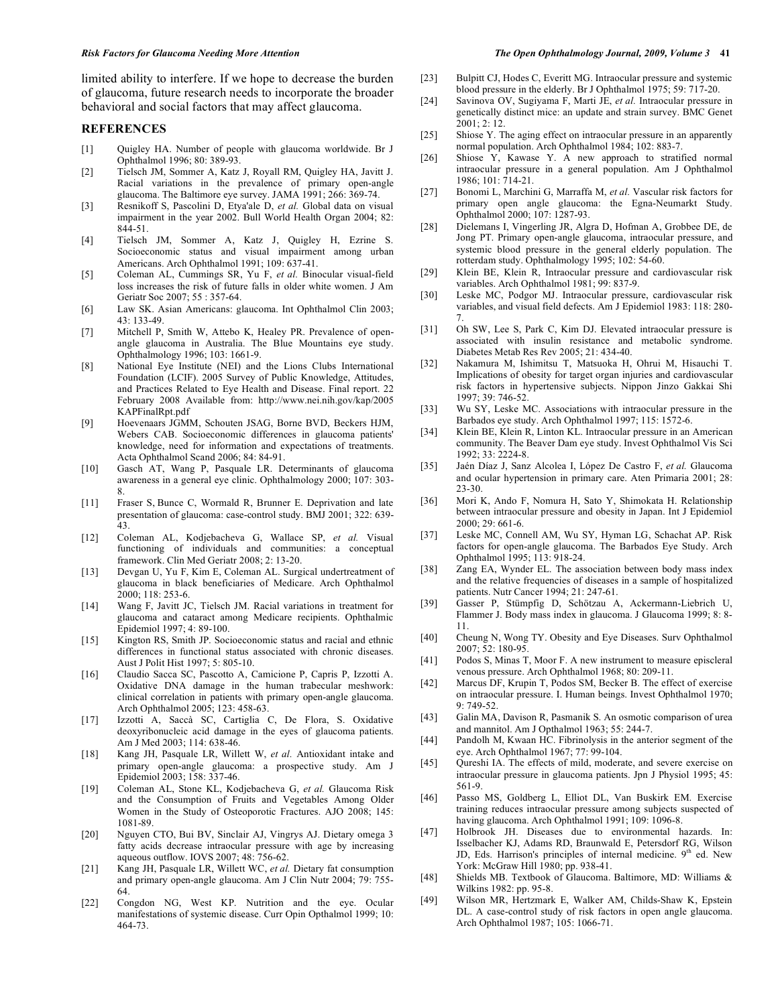limited ability to interfere. If we hope to decrease the burden of glaucoma, future research needs to incorporate the broader behavioral and social factors that may affect glaucoma.

#### **REFERENCES**

- [1] Quigley HA. Number of people with glaucoma worldwide. Br J Ophthalmol 1996; 80: 389-93.
- [2] Tielsch JM, Sommer A, Katz J, Royall RM, Quigley HA, Javitt J. Racial variations in the prevalence of primary open-angle glaucoma. The Baltimore eye survey. JAMA 1991; 266: 369-74.
- [3] Resnikoff S, Pascolini D, Etya'ale D, *et al.* Global data on visual impairment in the year 2002. Bull World Health Organ 2004; 82: 844-51.
- [4] Tielsch JM, Sommer A, Katz J, Quigley H, Ezrine S. Socioeconomic status and visual impairment among urban Americans. Arch Ophthalmol 1991; 109: 637-41.
- [5] Coleman AL, Cummings SR, Yu F, *et al.* Binocular visual-field loss increases the risk of future falls in older white women. J Am Geriatr Soc 2007; 55 : 357-64.
- [6] Law SK. Asian Americans: glaucoma. Int Ophthalmol Clin 2003; 43: 133-49.
- [7] Mitchell P, Smith W, Attebo K, Healey PR. Prevalence of openangle glaucoma in Australia. The Blue Mountains eye study. Ophthalmology 1996; 103: 1661-9.
- [8] National Eye Institute (NEI) and the Lions Clubs International Foundation (LCIF). 2005 Survey of Public Knowledge, Attitudes, and Practices Related to Eye Health and Disease. Final report. 22 February 2008 Available from: http://www.nei.nih.gov/kap/2005 KAPFinalRpt.pdf
- [9] Hoevenaars JGMM, Schouten JSAG, Borne BVD, Beckers HJM, Webers CAB. Socioeconomic differences in glaucoma patients' knowledge, need for information and expectations of treatments. Acta Ophthalmol Scand 2006; 84: 84-91.
- [10] Gasch AT, Wang P, Pasquale LR. Determinants of glaucoma awareness in a general eye clinic. Ophthalmology 2000; 107: 303- 8.
- [11] Fraser S, Bunce C, Wormald R, Brunner E. Deprivation and late presentation of glaucoma: case-control study. BMJ 2001; 322: 639- 43.
- [12] Coleman AL, Kodjebacheva G, Wallace SP, *et al.* Visual functioning of individuals and communities: a conceptual framework. Clin Med Geriatr 2008; 2: 13-20.
- [13] Devgan U, Yu F, Kim E, Coleman AL. Surgical undertreatment of glaucoma in black beneficiaries of Medicare. Arch Ophthalmol 2000; 118: 253-6.
- [14] Wang F, Javitt JC, Tielsch JM. Racial variations in treatment for glaucoma and cataract among Medicare recipients. Ophthalmic Epidemiol 1997; 4: 89-100.
- [15] Kington RS, Smith JP. Socioeconomic status and racial and ethnic differences in functional status associated with chronic diseases. Aust J Polit Hist 1997; 5: 805-10.
- [16] Claudio Sacca SC, Pascotto A, Camicione P, Capris P, Izzotti A. Oxidative DNA damage in the human trabecular meshwork: clinical correlation in patients with primary open-angle glaucoma. Arch Ophthalmol 2005; 123: 458-63.
- [17] Izzotti A, Saccà SC, Cartiglia C, De Flora, S. Oxidative deoxyribonucleic acid damage in the eyes of glaucoma patients. Am J Med 2003; 114: 638-46.
- [18] Kang JH, Pasquale LR, Willett W, *et al.* Antioxidant intake and primary open-angle glaucoma: a prospective study. Am J Epidemiol 2003; 158: 337-46.
- [19] Coleman AL, Stone KL, Kodjebacheva G, *et al.* Glaucoma Risk and the Consumption of Fruits and Vegetables Among Older Women in the Study of Osteoporotic Fractures. AJO 2008; 145: 1081-89.
- [20] Nguyen CTO, Bui BV, Sinclair AJ, Vingrys AJ. Dietary omega 3 fatty acids decrease intraocular pressure with age by increasing aqueous outflow. IOVS 2007; 48: 756-62.
- [21] Kang JH, Pasquale LR, Willett WC, *et al.* Dietary fat consumption and primary open-angle glaucoma. Am J Clin Nutr 2004; 79: 755- 64.
- [22] Congdon NG, West KP. Nutrition and the eye. Ocular manifestations of systemic disease. Curr Opin Opthalmol 1999; 10: 464-73.

#### *Risk Factors for Glaucoma Needing More Attention The Open Ophthalmology Journal, 2009, Volume 3* **41**

- [23] Bulpitt CJ, Hodes C, Everitt MG. Intraocular pressure and systemic blood pressure in the elderly. Br J Ophthalmol 1975; 59: 717-20.
- [24] Savinova OV, Sugiyama F, Marti JE, *et al.* Intraocular pressure in genetically distinct mice: an update and strain survey. BMC Genet 2001; 2: 12.
- [25] Shiose Y. The aging effect on intraocular pressure in an apparently normal population. Arch Ophthalmol 1984; 102: 883-7.
- [26] Shiose Y, Kawase Y. A new approach to stratified normal intraocular pressure in a general population. Am J Ophthalmol 1986; 101: 714-21.
- [27] Bonomi L, Marchini G, Marraffa M, *et al.* Vascular risk factors for primary open angle glaucoma: the Egna-Neumarkt Study. Ophthalmol 2000; 107: 1287-93.
- [28] Dielemans I, Vingerling JR, Algra D, Hofman A, Grobbee DE, de Jong PT. Primary open-angle glaucoma, intraocular pressure, and systemic blood pressure in the general elderly population. The rotterdam study. Ophthalmology 1995; 102: 54-60.
- [29] Klein BE, Klein R, Intraocular pressure and cardiovascular risk variables. Arch Ophthalmol 1981; 99: 837-9.
- [30] Leske MC, Podgor MJ. Intraocular pressure, cardiovascular risk variables, and visual field defects. Am J Epidemiol 1983: 118: 280- 7.
- [31] Oh SW, Lee S, Park C, Kim DJ. Elevated intraocular pressure is associated with insulin resistance and metabolic syndrome. Diabetes Metab Res Rev 2005; 21: 434-40.
- [32] Nakamura M, Ishimitsu T, Matsuoka H, Ohrui M, Hisauchi T. Implications of obesity for target organ injuries and cardiovascular risk factors in hypertensive subjects. Nippon Jinzo Gakkai Shi 1997; 39: 746-52.
- [33] Wu SY, Leske MC. Associations with intraocular pressure in the Barbados eye study. Arch Ophthalmol 1997; 115: 1572-6.
- [34] Klein BE, Klein R, Linton KL. Intraocular pressure in an American community. The Beaver Dam eye study. Invest Ophthalmol Vis Sci 1992; 33: 2224-8.
- [35] Jaén Díaz J, Sanz Alcolea I, López De Castro F, *et al.* Glaucoma and ocular hypertension in primary care. Aten Primaria 2001; 28: 23-30.
- [36] Mori K, Ando F, Nomura H, Sato Y, Shimokata H. Relationship between intraocular pressure and obesity in Japan. Int J Epidemiol 2000; 29: 661-6.
- [37] Leske MC, Connell AM, Wu SY, Hyman LG, Schachat AP. Risk factors for open-angle glaucoma. The Barbados Eye Study. Arch Ophthalmol 1995; 113: 918-24.
- [38] Zang EA, Wynder EL. The association between body mass index and the relative frequencies of diseases in a sample of hospitalized patients. Nutr Cancer 1994; 21: 247-61.
- [39] Gasser P, Stümpfig D, Schötzau A, Ackermann-Liebrich U, Flammer J. Body mass index in glaucoma. J Glaucoma 1999; 8: 8- 11.
- [40] Cheung N, Wong TY. Obesity and Eye Diseases. Surv Ophthalmol 2007; 52: 180-95.
- [41] Podos S, Minas T, Moor F. A new instrument to measure episcleral venous pressure. Arch Ophthalmol 1968; 80: 209-11.
- [42] Marcus DF, Krupin T, Podos SM, Becker B. The effect of exercise on intraocular pressure. I. Human beings. Invest Ophthalmol 1970; 9: 749-52.
- [43] Galin MA, Davison R, Pasmanik S. An osmotic comparison of urea and mannitol. Am J Opthalmol 1963; 55: 244-7.
- [44] Pandolh M, Kwaan HC. Fibrinolysis in the anterior segment of the eye. Arch Ophthalmol 1967; 77: 99-104.
- [45] Qureshi IA. The effects of mild, moderate, and severe exercise on intraocular pressure in glaucoma patients. Jpn J Physiol 1995; 45: 561-9.
- [46] Passo MS, Goldberg L, Elliot DL, Van Buskirk EM. Exercise training reduces intraocular pressure among subjects suspected of having glaucoma. Arch Ophthalmol 1991; 109: 1096-8.
- [47] Holbrook JH. Diseases due to environmental hazards. In: Isselbacher KJ, Adams RD, Braunwald E, Petersdorf RG, Wilson JD, Eds. Harrison's principles of internal medicine. 9<sup>th</sup> ed. New York: McGraw Hill 1980; pp. 938-41.
- [48] Shields MB. Textbook of Glaucoma. Baltimore, MD: Williams & Wilkins 1982: pp. 95-8.
- [49] Wilson MR, Hertzmark E, Walker AM, Childs-Shaw K, Epstein DL. A case-control study of risk factors in open angle glaucoma. Arch Ophthalmol 1987; 105: 1066-71.